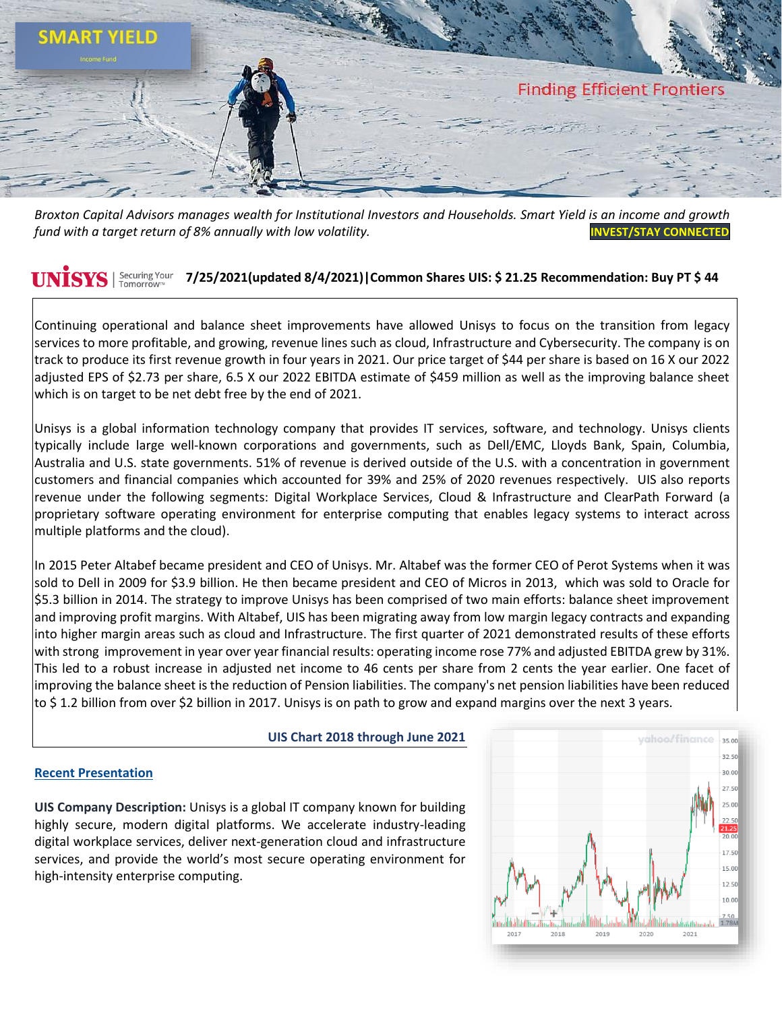

*Broxton Capital Advisors manages wealth for Institutional Investors and Households. Smart Yield is an income and growth fund with a target return of 8% annually with low volatility.* **[INVEST/STAY](https://www.broxtoncapital.com/contact) CONNECTED**

#### **UNISYS** Securing Your **7/25/2021(updated 8/4/2021)|Common Shares UIS: \$ 21.25 Recommendation: Buy PT \$ 44**

Continuing operational and balance sheet improvements have allowed Unisys to focus on the transition from legacy services to more profitable, and growing, revenue lines such as cloud, Infrastructure and Cybersecurity. The company is on track to produce its first revenue growth in four years in 2021. Our price target of \$44 per share is based on 16 X our 2022 adjusted EPS of \$2.73 per share, 6.5 X our 2022 EBITDA estimate of \$459 million as well as the improving balance sheet which is on target to be net debt free by the end of 2021.

Unisys is a global information technology company that provides IT services, software, and technology. Unisys clients typically include large well-known corporations and governments, such as Dell/EMC, Lloyds Bank, Spain, Columbia, Australia and U.S. state governments. 51% of revenue is derived outside of the U.S. with a concentration in government customers and financial companies which accounted for 39% and 25% of 2020 revenues respectively. UIS also reports revenue under the following segments: Digital Workplace Services, Cloud & Infrastructure and ClearPath Forward (a proprietary software operating environment for enterprise computing that enables legacy systems to interact across multiple platforms and the cloud).

In 2015 Peter Altabef became president and CEO of Unisys. Mr. Altabef was the former CEO of Perot Systems when it was sold to Dell in 2009 for \$3.9 billion. He then became president and CEO of Micros in 2013, which was sold to Oracle for \$5.3 billion in 2014. The strategy to improve Unisys has been comprised of two main efforts: balance sheet improvement and improving profit margins. With Altabef, UIS has been migrating away from low margin legacy contracts and expanding into higher margin areas such as cloud and Infrastructure. The first quarter of 2021 demonstrated results of these efforts with strong improvement in year over year financial results: operating income rose 77% and adjusted EBITDA grew by 31%. This led to a robust increase in adjusted net income to 46 cents per share from 2 cents the year earlier. One facet of improving the balance sheet is the reduction of Pension liabilities. The company's net pension liabilities have been reduced to \$ 1.2 billion from over \$2 billion in 2017. Unisys is on path to grow and ex[pand margins over the next 3 years.](https://finance.yahoo.com/chart/UIS)

## **UIS Chart 2018 through June 2021**

## **[Recent Presentation](https://www.app5.unisys.com/investors/presentations/2021_1Q_Financial_Release_Webcast.pdf)**

**UIS Company Description:** Unisys is a global IT company known for building highly secure, modern digital platforms. We accelerate industry-leading digital workplace services, deliver next-generation cloud and infrastructure services, and provide the world's most secure operating environment for high-intensity enterprise computing.

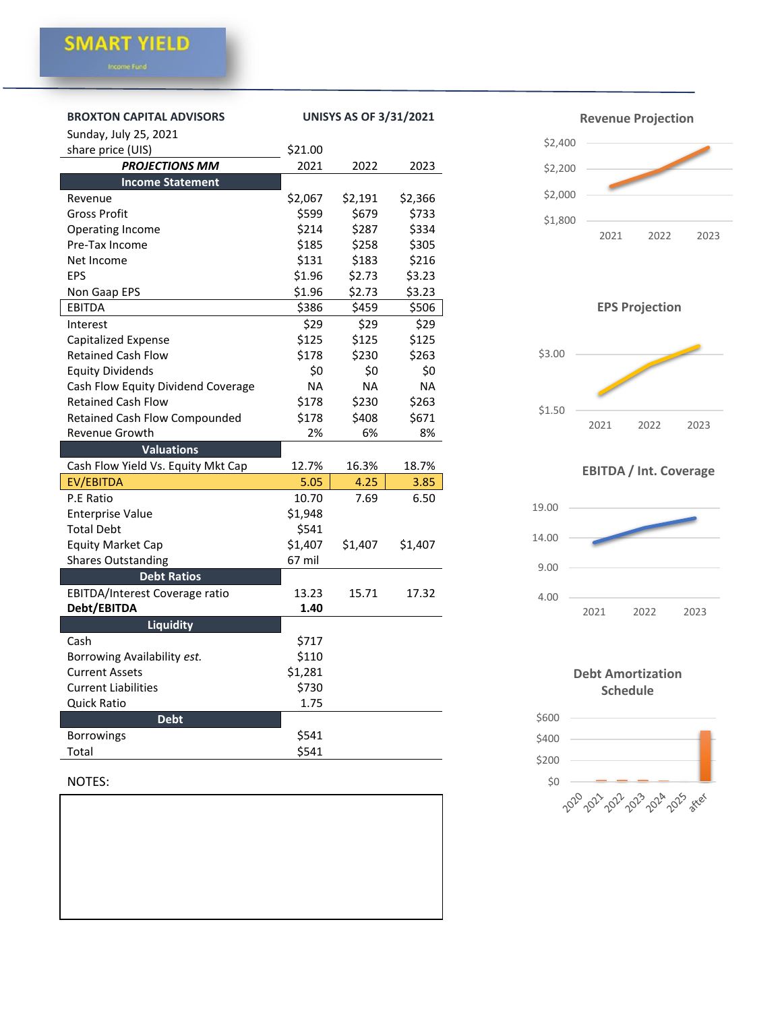| <b>BROXTON CAPITAL ADVISORS</b><br>Sunday, July 25, 2021 | <b>UNISYS AS OF 3/31/2021</b> |           |           |
|----------------------------------------------------------|-------------------------------|-----------|-----------|
| share price (UIS)                                        | \$21.00                       |           |           |
| <b>PROJECTIONS MM</b>                                    | 2021                          | 2022      | 2023      |
| <b>Income Statement</b>                                  |                               |           |           |
| Revenue                                                  | \$2,067                       | \$2,191   | \$2,366   |
| Gross Profit                                             | \$599                         | \$679     | \$733     |
| Operating Income                                         | \$214                         | \$287     | \$334     |
| Pre-Tax Income                                           | \$185                         | \$258     | \$305     |
| Net Income                                               | \$131                         | \$183     | \$216     |
| EPS                                                      | \$1.96                        | \$2.73    | \$3.23    |
| Non Gaap EPS                                             | \$1.96                        | \$2.73    | \$3.23    |
| EBITDA                                                   | \$386                         | \$459     | \$506     |
| Interest                                                 | \$29                          | \$29      | \$29      |
| Capitalized Expense                                      | \$125                         | \$125     | \$125     |
| <b>Retained Cash Flow</b>                                | \$178                         | \$230     | \$263     |
| <b>Equity Dividends</b>                                  | \$0                           | \$0       | \$0       |
| Cash Flow Equity Dividend Coverage                       | <b>NA</b>                     | <b>NA</b> | <b>NA</b> |
| <b>Retained Cash Flow</b>                                | \$178                         | \$230     | \$263     |
| <b>Retained Cash Flow Compounded</b>                     | \$178                         | \$408     | \$671     |
| Revenue Growth                                           | 2%                            | 6%        | 8%        |
| <b>Valuations</b>                                        |                               |           |           |
| Cash Flow Yield Vs. Equity Mkt Cap                       | 12.7%                         | 16.3%     | 18.7%     |
| EV/EBITDA                                                | 5.05                          | 4.25      | 3.85      |
| P.E Ratio                                                | 10.70                         | 7.69      | 6.50      |
| <b>Enterprise Value</b>                                  | \$1,948                       |           |           |
| <b>Total Debt</b>                                        | \$541                         |           |           |
| <b>Equity Market Cap</b>                                 | \$1,407                       | \$1,407   | \$1,407   |
| <b>Shares Outstanding</b>                                | 67 mil                        |           |           |
| <b>Debt Ratios</b>                                       |                               |           |           |
| EBITDA/Interest Coverage ratio                           | 13.23                         | 15.71     | 17.32     |
| Debt/EBITDA                                              | 1.40                          |           |           |
| <b>Liquidity</b>                                         |                               |           |           |
| Cash                                                     | \$717                         |           |           |
| Borrowing Availability est.                              | \$110                         |           |           |
| <b>Current Assets</b>                                    | \$1,281                       |           |           |
| <b>Current Liabilities</b>                               | \$730                         |           |           |
| <b>Quick Ratio</b>                                       | 1.75                          |           |           |
| <b>Debt</b>                                              |                               |           |           |
| <b>Borrowings</b>                                        | \$541                         |           |           |
| Total                                                    | \$541                         |           |           |

# NOTES:





**EPS Projection**



# **EBITDA / Int. Coverage**